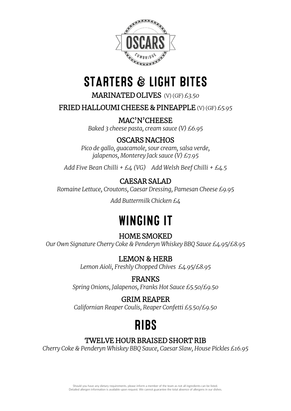

# **STARTERS & LIGHT BITES**

MARINATED OLIVES (V) (GF) *£3.50*

FRIED HALLOUMI CHEESE & PINEAPPLE (V) (GF) *£5.95*

MAC'N'CHEESE *Baked 3 cheese pasta, cream sauce (V) £6.95*

## OSCARS NACHOS

*Pico de gallo, guacamole, sour cream, salsa verde, jalapenos, Monterey Jack sauce (V) £7.95*

*Add Five Bean Chilli + £4 (VG) Add Welsh Beef Chilli + £4.5*

## CAESAR SALAD

*Romaine Lettuce, Croutons, Caesar Dressing, Pamesan Cheese £9.95*

*Add Buttermilk Chicken £4*

# **WINGING IT**

## HOME SMOKED

*Our Own Signature Cherry Coke & Penderyn Whiskey BBQ Sauce £4.95/£8.95*

LEMON & HERB

*Lemon Aioli, Freshly Chopped Chives £4.95/£8.95*

## FRANKS

*Spring Onions, Jalapenos, Franks Hot Sauce £5.50/£9.50*

## GRIM REAPER

*Californian Reaper Coulis, Reaper Confetti £5.50/£9.50*

# **RIBS**

## TWELVE HOUR BRAISED SHORT RIB

*Cherry Coke & Penderyn Whiskey BBQ Sauce, Caesar Slaw, House Pickles £16.95*